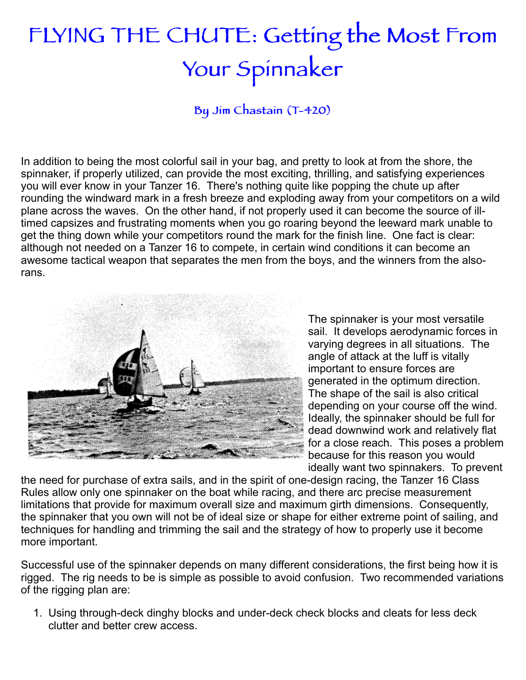## FLYING THE CHUTE: Getting the Most From Your Spinnaker

By Jim Chastain (T-420)

In addition to being the most colorful sail in your bag, and pretty to look at from the shore, the spinnaker, if properly utilized, can provide the most exciting, thrilling, and satisfying experiences you will ever know in your Tanzer 16. There's nothing quite like popping the chute up after rounding the windward mark in a fresh breeze and exploding away from your competitors on a wild plane across the waves. On the other hand, if not properly used it can become the source of illtimed capsizes and frustrating moments when you go roaring beyond the leeward mark unable to get the thing down while your competitors round the mark for the finish line. One fact is clear: although not needed on a Tanzer 16 to compete, in certain wind conditions it can become an awesome tactical weapon that separates the men from the boys, and the winners from the alsorans.



The spinnaker is your most versatile sail. It develops aerodynamic forces in varying degrees in all situations. The angle of attack at the luff is vitally important to ensure forces are generated in the optimum direction. The shape of the sail is also critical depending on your course off the wind. Ideally, the spinnaker should be full for dead downwind work and relatively flat for a close reach. This poses a problem because for this reason you would ideally want two spinnakers. To prevent

the need for purchase of extra sails, and in the spirit of one-design racing, the Tanzer 16 Class Rules allow only one spinnaker on the boat while racing, and there arc precise measurement limitations that provide for maximum overall size and maximum girth dimensions. Consequently, the spinnaker that you own will not be of ideal size or shape for either extreme point of sailing, and techniques for handling and trimming the sail and the strategy of how to properly use it become more important.

Successful use of the spinnaker depends on many different considerations, the first being how it is rigged. The rig needs to be is simple as possible to avoid confusion. Two recommended variations of the rigging plan are:

1. Using through-deck dinghy blocks and under-deck check blocks and cleats for less deck clutter and better crew access.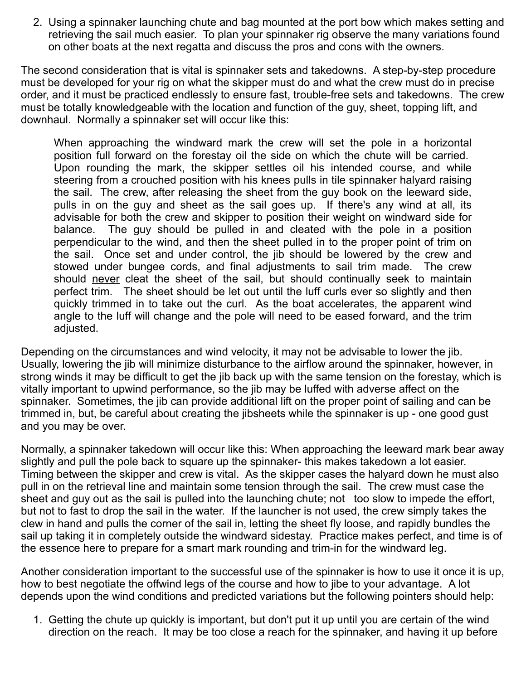2. Using a spinnaker launching chute and bag mounted at the port bow which makes setting and retrieving the sail much easier. To plan your spinnaker rig observe the many variations found on other boats at the next regatta and discuss the pros and cons with the owners.

The second consideration that is vital is spinnaker sets and takedowns. A step-by-step procedure must be developed for your rig on what the skipper must do and what the crew must do in precise order, and it must be practiced endlessly to ensure fast, trouble-free sets and takedowns. The crew must be totally knowledgeable with the location and function of the guy, sheet, topping lift, and downhaul. Normally a spinnaker set will occur like this:

When approaching the windward mark the crew will set the pole in a horizontal position full forward on the forestay oil the side on which the chute will be carried. Upon rounding the mark, the skipper settles oil his intended course, and while steering from a crouched position with his knees pulls in tile spinnaker halyard raising the sail. The crew, after releasing the sheet from the guy book on the leeward side, pulls in on the guy and sheet as the sail goes up. If there's any wind at all, its advisable for both the crew and skipper to position their weight on windward side for balance. The guy should be pulled in and cleated with the pole in a position perpendicular to the wind, and then the sheet pulled in to the proper point of trim on the sail. Once set and under control, the jib should be lowered by the crew and stowed under bungee cords, and final adjustments to sail trim made. The crew should never cleat the sheet of the sail, but should continually seek to maintain perfect trim. The sheet should be let out until the luff curls ever so slightly and then quickly trimmed in to take out the curl. As the boat accelerates, the apparent wind angle to the luff will change and the pole will need to be eased forward, and the trim adjusted.

Depending on the circumstances and wind velocity, it may not be advisable to lower the jib. Usually, lowering the jib will minimize disturbance to the airflow around the spinnaker, however, in strong winds it may be difficult to get the jib back up with the same tension on the forestay, which is vitally important to upwind performance, so the jib may be luffed with adverse affect on the spinnaker. Sometimes, the jib can provide additional lift on the proper point of sailing and can be trimmed in, but, be careful about creating the jibsheets while the spinnaker is up - one good gust and you may be over.

Normally, a spinnaker takedown will occur like this: When approaching the leeward mark bear away slightly and pull the pole back to square up the spinnaker- this makes takedown a lot easier. Timing between the skipper and crew is vital. As the skipper cases the halyard down he must also pull in on the retrieval line and maintain some tension through the sail. The crew must case the sheet and guy out as the sail is pulled into the launching chute; not too slow to impede the effort, but not to fast to drop the sail in the water. If the launcher is not used, the crew simply takes the clew in hand and pulls the corner of the sail in, letting the sheet fly loose, and rapidly bundles the sail up taking it in completely outside the windward sidestay. Practice makes perfect, and time is of the essence here to prepare for a smart mark rounding and trim-in for the windward leg.

Another consideration important to the successful use of the spinnaker is how to use it once it is up, how to best negotiate the offwind legs of the course and how to jibe to your advantage. A lot depends upon the wind conditions and predicted variations but the following pointers should help:

1. Getting the chute up quickly is important, but don't put it up until you are certain of the wind direction on the reach. It may be too close a reach for the spinnaker, and having it up before